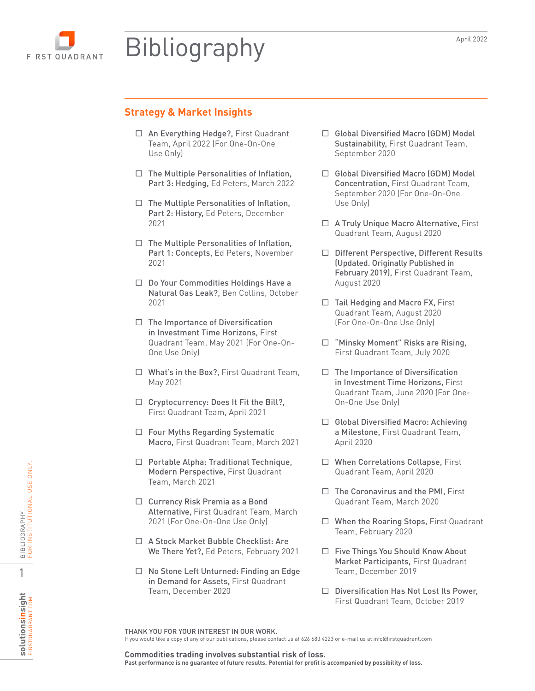# **FIRST QUADRANT**

## Bibliography

## **Strategy & Market Insights**

- □ An Everything Hedge?, First Quadrant Team, April 2022 (For One-On-One Use Only)
- $\Box$  The Multiple Personalities of Inflation, Part 3: Hedging, Ed Peters, March 2022
- $\Box$  The Multiple Personalities of Inflation, Part 2: History, Ed Peters, December 2021
- $\Box$  The Multiple Personalities of Inflation, Part 1: Concepts, Ed Peters, November 2021
- □ Do Your Commodities Holdings Have a Natural Gas Leak?, Ben Collins, October 2021
- $\Box$  The Importance of Diversification in Investment Time Horizons, First Quadrant Team, May 2021 (For One-On-One Use Only)
- □ What's in the Box?, First Quadrant Team, May 2021
- □ Cryptocurrency: Does It Fit the Bill?, First Quadrant Team, April 2021
- □ Four Myths Regarding Systematic Macro, First Quadrant Team, March 2021
- $\Box$  Portable Alpha: Traditional Technique, Modern Perspective, First Quadrant Team, March 2021
- □ Currency Risk Premia as a Bond Alternative, First Quadrant Team, March 2021 (For One-On-One Use Only)
- □ A Stock Market Bubble Checklist: Are We There Yet?, Ed Peters, February 2021
- □ No Stone Left Unturned: Finding an Edge in Demand for Assets, First Quadrant Team, December 2020
- □ Global Diversified Macro (GDM) Model Sustainability, First Quadrant Team, September 2020
- □ Global Diversified Macro (GDM) Model Concentration, First Quadrant Team, September 2020 (For One-On-One Use Only)
- □ A Truly Unique Macro Alternative, First Quadrant Team, August 2020
- □ Different Perspective, Different Results (Updated. Originally Published in February 2019), First Quadrant Team, August 2020
- $\Box$  Tail Hedging and Macro FX, First Quadrant Team, August 2020 (For One-On-One Use Only)
- □ "Minsky Moment" Risks are Rising, First Quadrant Team, July 2020
- $\Box$  The Importance of Diversification in Investment Time Horizons, First Quadrant Team, June 2020 (For One-On-One Use Only)
- □ Global Diversified Macro: Achieving a Milestone, First Quadrant Team, April 2020
- □ When Correlations Collapse, First Quadrant Team, April 2020
- $\Box$  The Coronavirus and the PMI, First Quadrant Team, March 2020
- □ When the Roaring Stops, First Quadrant Team, February 2020
- □ Five Things You Should Know About Market Participants, First Quadrant Team, December 2019
- □ Diversification Has Not Lost Its Power, First Quadrant Team, October 2019

THANK YOU FOR YOUR INTEREST IN OUR WORK. If you would like a copy of any of our publications, please contact us at 626 683 4223 or e-mail us at info@firstquadrant.com

**Commodities trading involves substantial risk of loss. Past performance is no guarantee of future results. Potential for profit is accompanied by possibility of loss.** 

1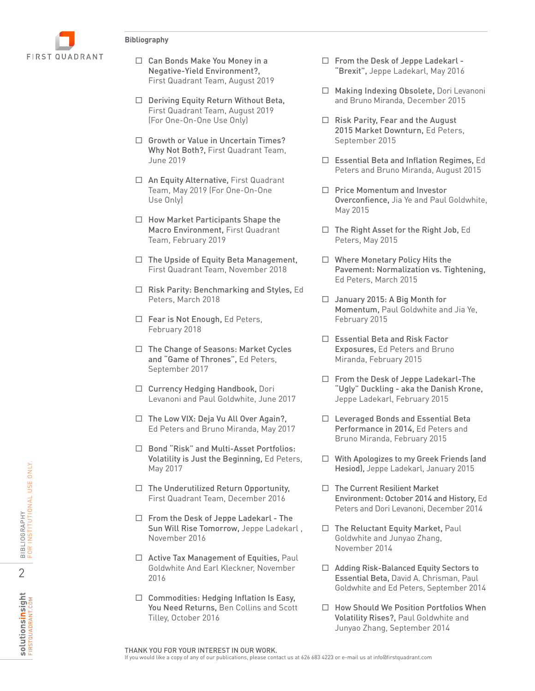

- Negative-Yield Environment?, First Quadrant Team, August 2019
- □ Deriving Equity Return Without Beta, First Quadrant Team, August 2019 (For One-On-One Use Only)
- □ Growth or Value in Uncertain Times? Why Not Both?, First Quadrant Team, June 2019
- □ An Equity Alternative, First Quadrant Team, May 2019 (For One-On-One Use Only)
- $\Box$  How Market Participants Shape the Macro Environment, First Quadrant Team, February 2019
- $\Box$  The Upside of Equity Beta Management, First Quadrant Team, November 2018
- $\Box$  Risk Parity: Benchmarking and Styles, Ed Peters, March 2018
- $\Box$  Fear is Not Enough, Ed Peters, February 2018
- □ The Change of Seasons: Market Cycles and "Game of Thrones", Ed Peters, September 2017
- □ Currency Hedging Handbook, Dori Levanoni and Paul Goldwhite, June 2017
- $\Box$  The Low VIX: Deja Vu All Over Again?, Ed Peters and Bruno Miranda, May 2017
- □ Bond "Risk" and Multi-Asset Portfolios: Volatility is Just the Beginning, Ed Peters, May 2017
- $\Box$  The Underutilized Return Opportunity, First Quadrant Team, December 2016
- C an Bonds Make You Money in a C From the Desk of Jeppe Lades and The Two Worlds and The Two Worlds C Tiest Cluddrant Tram, August 2019 (For One-On-One Use only) and Bonds Marine Make Townturn, E. First Cluddrant Tram, □ From the Desk of Jeppe Ladekarl - The Sun Will Rise Tomorrow, Jeppe Ladekarl , November 2016
	- □ Active Tax Management of Equities, Paul Goldwhite And Earl Kleckner, November 2016
	- $\Box$  Commodities: Hedging Inflation Is Easy, You Need Returns, Ben Collins and Scott Tilley, October 2016
- $\Box$  From the Desk of Jeppe Ladekarl -"Brexit", Jeppe Ladekarl, May 2016
- □ Making Indexing Obsolete, Dori Levanoni and Bruno Miranda, December 2015
- $\Box$  Risk Parity, Fear and the August 2015 Market Downturn, Ed Peters, September 2015
- □ Essential Beta and Inflation Regimes, Ed Peters and Bruno Miranda, August 2015
- $\Box$  Price Momentum and Investor Overconfience, Jia Ye and Paul Goldwhite, May 2015
- $\Box$  The Right Asset for the Right Job, Ed Peters, May 2015
- □ Where Monetary Policy Hits the Pavement: Normalization vs. Tightening, Ed Peters, March 2015
- □ January 2015: A Big Month for Momentum, Paul Goldwhite and Jia Ye, February 2015
- Essential Beta and Risk Factor Exposures, Ed Peters and Bruno Miranda, February 2015
- □ From the Desk of Jeppe Ladekarl-The "Ugly" Duckling - aka the Danish Krone, Jeppe Ladekarl, February 2015
- $\Box$  Leveraged Bonds and Essential Beta Performance in 2014, Ed Peters and Bruno Miranda, February 2015
- With Apologizes to my Greek Friends (and Hesiod), Jeppe Ladekarl, January 2015
- $\Box$  The Current Resilient Market Environment: October 2014 and History, Ed Peters and Dori Levanoni, December 2014
- $\Box$  The Reluctant Equity Market, Paul Goldwhite and Junyao Zhang, November 2014
- $\Box$  Adding Risk-Balanced Equity Sectors to Essential Beta, David A. Chrisman, Paul Goldwhite and Ed Peters, September 2014
- $\Box$  How Should We Position Portfolios When Volatility Rises?, Paul Goldwhite and Junyao Zhang, September 2014

FIRSTQUADRANT.COM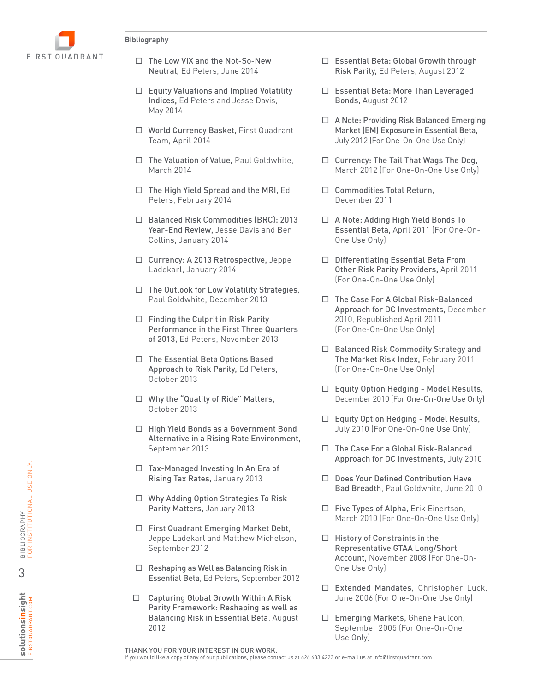

- Neutral, Ed Peters, June 2014
- $\Box$  Equity Valuations and Implied Volatility Indices, Ed Peters and Jesse Davis, May 2014
- □ World Currency Basket, First Quadrant Team, April 2014
- □ The Valuation of Value, Paul Goldwhite, March 2014
- $\Box$  The High Yield Spread and the MRI, Ed Peters, February 2014
- □ Balanced Risk Commodities (BRC): 2013 Year-End Review, Jesse Davis and Ben Collins, January 2014
- □ Currency: A 2013 Retrospective, Jeppe Ladekarl, January 2014
- $\Box$  The Outlook for Low Volatility Strategies, Paul Goldwhite, December 2013
- $\Box$  Finding the Culprit in Risk Parity Performance in the First Three Quarters of 2013, Ed Peters, November 2013
- $\Box$  The Essential Beta Options Based Approach to Risk Parity, Ed Peters, October 2013
- □ Why the "Quality of Ride" Matters, October 2013
- □ High Yield Bonds as a Government Bond Alternative in a Rising Rate Environment, September 2013
- $\Box$  Tax-Managed Investing In An Era of Rising Tax Rates, January 2013
- Why Adding Option Strategies To Risk Parity Matters, January 2013
- □ First Quadrant Emerging Market Debt, Jeppe Ladekarl and Matthew Michelson, September 2012
- $\Box$  Reshaping as Well as Balancing Risk in Essential Beta, Ed Peters, September 2012
- If The With Mini-So-New The Mini-So-New Matter Show New The Mini-So-New Mini-So-New Mini-So-New Or Bay of 2013<br>
Tenutive Value of Providing Risk Batal Group (2014)<br>
The High Yield Spectra and Inpier Value (2014)<br>
The Hi  $\Box$  Capturing Global Growth Within A Risk Parity Framework: Reshaping as well as Balancing Risk in Essential Beta, August 2012
- □ Essential Beta: Global Growth through Risk Parity, Ed Peters, August 2012
	- □ Essential Beta: More Than Leveraged Bonds, August 2012
	- □ A Note: Providing Risk Balanced Emerging Market (EM) Exposure in Essential Beta, July 2012 (For One-On-One Use Only)
	- $\Box$  Currency: The Tail That Wags The Dog, March 2012 (For One-On-One Use Only)
	- $\Box$  Commodities Total Return, December 2011
	- $\Box$  A Note: Adding High Yield Bonds To Essential Beta, April 2011 (For One-On-One Use Only)
	- □ Differentiating Essential Beta From Other Risk Parity Providers, April 2011 (For One-On-One Use Only)
	- □ The Case For A Global Risk-Balanced Approach for DC Investments, December 2010, Republished April 2011 (For One-On-One Use Only)
	- □ Balanced Risk Commodity Strategy and The Market Risk Index, February 2011 (For One-On-One Use Only)
	- $\Box$  Equity Option Hedging Model Results, December 2010 (For One-On-One Use Only)
	- $\Box$  Equity Option Hedging Model Results, July 2010 (For One-On-One Use Only)
	- $\Box$  The Case For a Global Risk-Balanced Approach for DC Investments, July 2010
	- $\Box$  Does Your Defined Contribution Have Bad Breadth, Paul Goldwhite, June 2010
	- □ Five Types of Alpha, Erik Einertson, March 2010 (For One-On-One Use Only)
	- $\Box$  History of Constraints in the Representative GTAA Long/Short Account, November 2008 (For One-On-One Use Only)
	- □ Extended Mandates, Christopher Luck, June 2006 (For One-On-One Use Only)
	- □ Emerging Markets, Ghene Faulcon, September 2005 (For One-On-One Use Only)

THANK YOU FOR YOUR INTEREST IN OUR WORK.<br>If you would like a copy of any of our publications, please contact us at 626 683 4223 or e-mail us at info@firstquadrant.com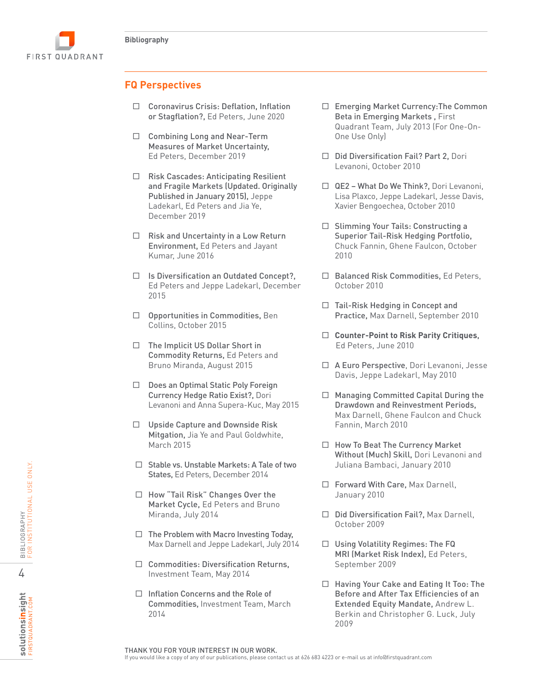

## **FQ Perspectives**

- or Stagflation?, Ed Peters, June 2020
- $\Box$  Combining Long and Near-Term Measures of Market Uncertainty, Ed Peters, December 2019
- Consolvered Crisis: Deflation, Inflation (Internet) Consolvered The presentations, please contact us at the state of the contact inflations, please contact us at the state of the coronavirus Crisis: Determined the anarc □ Risk Cascades: Anticipating Resilient and Fragile Markets (Updated. Originally Published in January 2015), Jeppe Ladekarl, Ed Peters and Jia Ye, December 2019
	- $\Box$  Risk and Uncertainty in a Low Return Environment, Ed Peters and Jayant Kumar, June 2016
	- $\Box$  Is Diversification an Outdated Concept?, Ed Peters and Jeppe Ladekarl, December 2015
	- Opportunities in Commodities, Ben Collins, October 2015
	- $\Box$  The Implicit US Dollar Short in Commodity Returns, Ed Peters and Bruno Miranda, August 2015
	- $\Box$  Does an Optimal Static Poly Foreign Currency Hedge Ratio Exist?, Dori Levanoni and Anna Supera-Kuc, May 2015
	- $\Box$  Upside Capture and Downside Risk Mitgation, Jia Ye and Paul Goldwhite, March 2015
	- $\Box$  Stable vs. Unstable Markets: A Tale of two States, Ed Peters, December 2014
	- □ How "Tail Risk" Changes Over the Market Cycle, Ed Peters and Bruno Miranda, July 2014
	- $\Box$  The Problem with Macro Investing Today. Max Darnell and Jeppe Ladekarl, July 2014
	- $\Box$  Commodities: Diversification Returns, Investment Team, May 2014
	- $\Box$  Inflation Concerns and the Role of Commodities, Investment Team, March 2014
- Emerging Market Currency:The Common Beta in Emerging Markets , First Quadrant Team, July 2013 (For One-On-One Use Only)
- $\Box$  Did Diversification Fail? Part 2, Dori Levanoni, October 2010
- QE2 What Do We Think?, Dori Levanoni, Lisa Plaxco, Jeppe Ladekarl, Jesse Davis, Xavier Bengoechea, October 2010
- $\Box$  Slimming Your Tails: Constructing a Superior Tail-Risk Hedging Portfolio, Chuck Fannin, Ghene Faulcon, October 2010
- $\Box$  Balanced Risk Commodities, Ed Peters, October 2010
- $\Box$  Tail-Risk Hedging in Concept and Practice, Max Darnell, September 2010
- **Counter-Point to Risk Parity Critiques** , Ed Peters, June 2010
- A Euro Perspective, Dori Levanoni, Jesse Davis, Jeppe Ladekarl, May 2010
- $\Box$  Managing Committed Capital During the Drawdown and Reinvestment Periods, Max Darnell, Ghene Faulcon and Chuck Fannin, March 2010
- $\Box$  How To Beat The Currency Market Without (Much) Skill, Dori Levanoni and Juliana Bambaci, January 2010
- □ Forward With Care, Max Darnell, January 2010
- □ Did Diversification Fail?, Max Darnell, October 2009
- $\Box$  Using Volatility Regimes: The FQ MRI (Market Risk Index), Ed Peters, September 2009
- □ Having Your Cake and Eating It Too: The Before and After Tax Efficiencies of an Extended Equity Mandate, Andrew L. Berkin and Christopher G. Luck, July 2009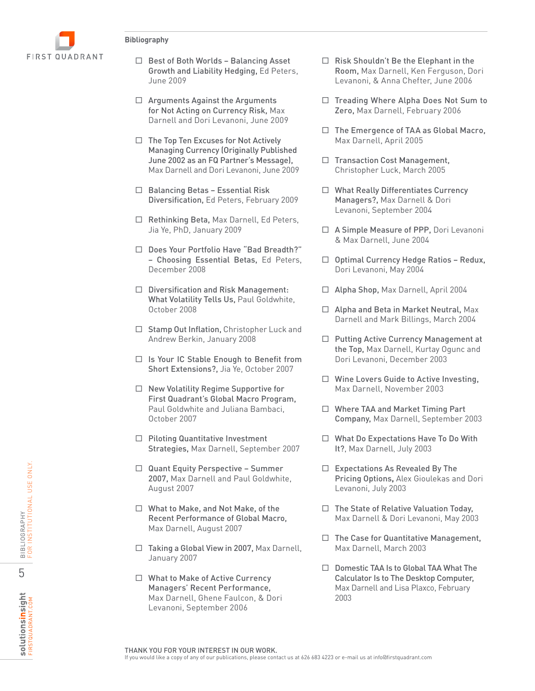

- Growth and Liability Hedging, Ed Peters, June 2009
- $\Box$  Arguments Against the Arguments for Not Acting on Currency Risk, Max Darnell and Dori Levanoni, June 2009
- Example a computer a contact a contact information and their Elist Anna Chief and Elist Anna Chief any other and the Elist mean of the state of the state of the State of Chief Anna Chief Anna Chief Anna Chief Anna Chief  $\Box$  The Top Ten Excuses for Not Actively Managing Currency (Originally Published June 2002 as an FQ Partner's Message), Max Darnell and Dori Levanoni, June 2009
	- $\Box$  Balancing Betas Essential Risk Diversification, Ed Peters, February 2009
	- □ Rethinking Beta, Max Darnell, Ed Peters, Jia Ye, PhD, January 2009
	- □ Does Your Portfolio Have "Bad Breadth?" – Choosing Essential Betas, Ed Peters, December 2008
	- Diversification and Risk Management: What Volatility Tells Us, Paul Goldwhite, October 2008
	- □ Stamp Out Inflation, Christopher Luck and Andrew Berkin, January 2008
	- $\Box$  Is Your IC Stable Enough to Benefit from Short Extensions?, Jia Ye, October 2007
	- $\Box$  New Volatility Regime Supportive for First Quadrant's Global Macro Program, Paul Goldwhite and Juliana Bambaci, October 2007
	- $\Box$  Piloting Quantitative Investment Strategies, Max Darnell, September 2007
	- $\Box$  Quant Equity Perspective Summer 2007, Max Darnell and Paul Goldwhite, August 2007
	- □ What to Make, and Not Make, of the Recent Performance of Global Macro, Max Darnell, August 2007
	- $\Box$  Taking a Global View in 2007, Max Darnell, January 2007
	- □ What to Make of Active Currency Managers' Recent Performance, Max Darnell, Ghene Faulcon, & Dori Levanoni, September 2006
- $\Box$  Risk Shouldn't Be the Elephant in the Room, Max Darnell, Ken Ferguson, Dori Levanoni, & Anna Chefter, June 2006
- □ Treading Where Alpha Does Not Sum to Zero, Max Darnell, February 2006
- $\Box$  The Emergence of TAA as Global Macro, Max Darnell, April 2005
- $\Box$  Transaction Cost Management, Christopher Luck, March 2005
- $\Box$  What Really Differentiates Currency Managers?, Max Darnell & Dori Levanoni, September 2004
- □ A Simple Measure of PPP, Dori Levanoni & Max Darnell, June 2004
- $\Box$  Optimal Currency Hedge Ratios Redux, Dori Levanoni, May 2004
- □ Alpha Shop, Max Darnell, April 2004
- □ Alpha and Beta in Market Neutral, Max Darnell and Mark Billings, March 2004
- □ Putting Active Currency Management at the Top, Max Darnell, Kurtay Ogunc and Dori Levanoni, December 2003
- $\Box$  Wine Lovers Guide to Active Investing, Max Darnell, November 2003
- □ Where TAA and Market Timing Part Company, Max Darnell, September 2003
- What Do Expectations Have To Do With It?, Max Darnell, July 2003
- $\Box$  Expectations As Revealed By The Pricing Options **,** Alex Gioulekas and Dori Levanoni, July 2003
- $\Box$  The State of Relative Valuation Today, Max Darnell & Dori Levanoni, May 2003
- $\Box$  The Case for Quantitative Management, Max Darnell, March 2003
- $\Box$  Domestic TAA Is to Global TAA What The Calculator Is to The Desktop Computer, Max Darnell and Lisa Plaxco, February 2003

FIRSTQUADRANT.COM

**Solutionsinsight**<br>FIRSTQUADRANT.COM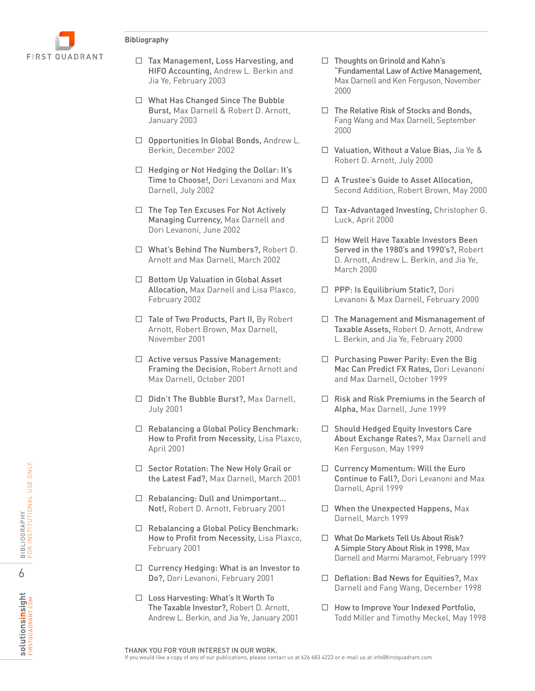

- □ Tax Management, Loss Harvesting, and HIFO Accounting, Andrew L. Berkin and Jia Ye, February 2003
- What Has Changed Since The Bubble Burst, Max Darnell & Robert D. Arnott, January 2003
- □ Opportunities In Global Bonds, Andrew L. Berkin, December 2002
- $\Box$  Hedging or Not Hedging the Dollar: It's Time to Choose!, Dori Levanoni and Max Darnell, July 2002
- $\Box$  The Top Ten Excuses For Not Actively Managing Currency, Max Darnell and Dori Levanoni, June 2002
- □ What's Behind The Numbers?, Robert D. Arnott and Max Darnell, March 2002
- □ Bottom Up Valuation in Global Asset Allocation, Max Darnell and Lisa Plaxco, February 2002
- $\Box$  Tale of Two Products, Part II, By Robert Arnott, Robert Brown, Max Darnell, November 2001
- □ Active versus Passive Management: Framing the Decision, Robert Arnott and Max Darnell, October 2001
- □ Didn't The Bubble Burst?, Max Darnell, July 2001
- $\Box$  Rebalancing a Global Policy Benchmark: How to Profit from Necessity, Lisa Plaxco, April 2001
- $\Box$  Sector Rotation: The New Holy Grail or the Latest Fad?, Max Darnell, March 2001
- Rebalancing: Dull and Unimportant... Not!, Robert D. Arnott, February 2001
- □ Rebalancing a Global Policy Benchmark: How to Profit from Necessity, Lisa Plaxco, February 2001
- $\Box$  Currency Hedging: What is an Investor to Do?, Dori Levanoni, February 2001
- □ Loss Harvesting: What's It Worth To The Taxable Investor?, Robert D. Arnott, Andrew L. Berkin, and Jia Ye, January 2001
- $\Box$  Thoughts on Grinold and Kahn's "Fundamental Law of Active Management, Max Darnell and Ken Ferguson, November 2000
- $\Box$  The Relative Risk of Stocks and Bonds, Fang Wang and Max Darnell, September 2000
- Valuation, Without a Value Bias, Jia Ye & Robert D. Arnott, July 2000
- □ A Trustee's Guide to Asset Allocation, Second Addition, Robert Brown, May 2000
- $\Box$  Tax-Advantaged Investing, Christopher G. Luck, April 2000
- $\Box$  How Well Have Taxable Investors Been Served in the 1980's and 1990's?. Robert D. Arnott, Andrew L. Berkin, and Jia Ye, March 2000
- □ PPP: Is Equilibrium Static?, Dori Levanoni & Max Darnell, February 2000
- $\Box$  The Management and Mismanagement of Taxable Assets, Robert D. Arnott, Andrew L. Berkin, and Jia Ye, February 2000
- $\Box$  Purchasing Power Parity: Even the Big Mac Can Predict FX Rates, Dori Levanoni and Max Darnell, October 1999
- $\Box$  Risk and Risk Premiums in the Search of Alpha, Max Darnell, June 1999
- $\Box$  Should Hedged Equity Investors Care About Exchange Rates?, Max Darnell and Ken Ferguson, May 1999
- $\Box$  Currency Momentum: Will the Euro Continue to Fall?, Dori Levanoni and Max Darnell, April 1999
- When the Unexpected Happens, Max Darnell, March 1999
- □ What Do Markets Tell Us About Risk? A Simple Story About Risk in 1998, Max Darnell and Marmi Maramot, February 1999
- □ Deflation: Bad News for Equities?, Max Darnell and Fang Wang, December 1998
- $\Box$  How to Improve Your Indexed Portfolio, Todd Miller and Timothy Meckel, May 1998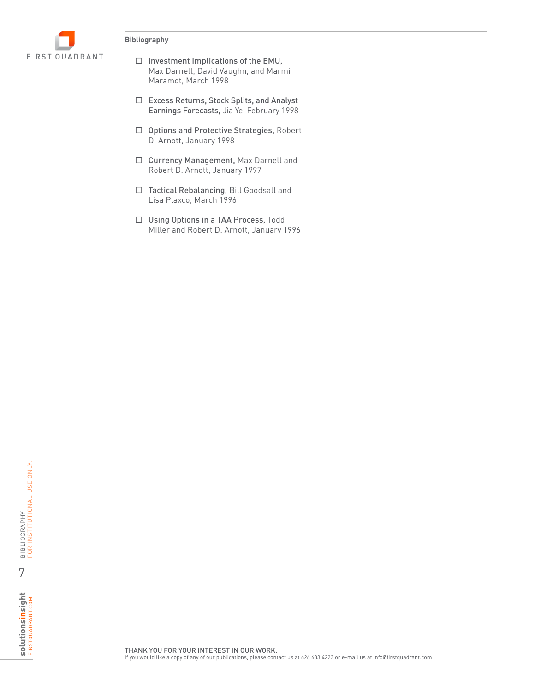

- $\Box$  Investment Implications of the EMU, Max Darnell, David Vaughn, and Marmi Maramot, March 1998
- Excess Returns, Stock Splits, and Analyst Earnings Forecasts, Jia Ye, February 1998
- □ Options and Protective Strategies, Robert D. Arnott, January 1998
- □ Currency Management, Max Darnell and Robert D. Arnott, January 1997
- □ Tactical Rebalancing, Bill Goodsall and Lisa Plaxco, March 1996
- □ Using Options in a TAA Process, Todd Miller and Robert D. Arnott, January 1996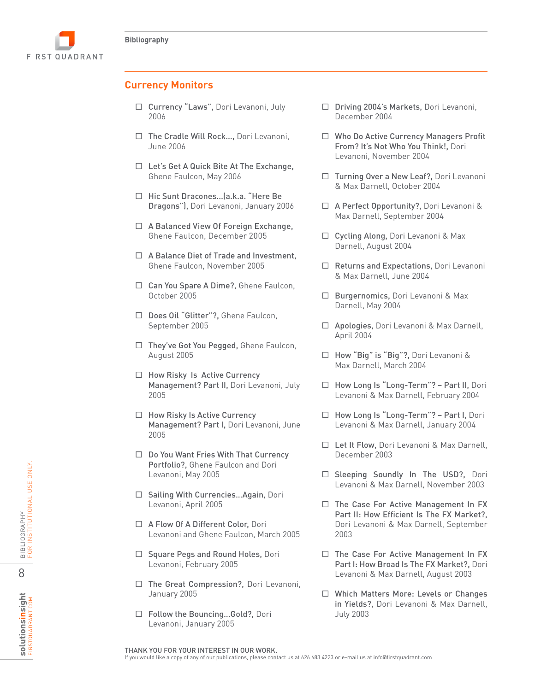

### **Currency Monitors**

- □ Currency "Laws", Dori Levanoni, July 2006
- $\Box$  The Cradle Will Rock..., Dori Levanoni, June 2006
- $\Box$  Let's Get A Quick Bite At The Exchange, Ghene Faulcon, May 2006
- □ Hic Sunt Dracones...(a.k.a. "Here Be Dragons"), Dori Levanoni, January 2006
- □ A Balanced View Of Foreign Exchange, Ghene Faulcon, December 2005
- $\Box$  A Balance Diet of Trade and Investment, Ghene Faulcon, November 2005
- □ Can You Spare A Dime?, Ghene Faulcon, October 2005
- □ Does Oil "Glitter"?, Ghene Faulcon, September 2005
- □ They've Got You Pegged, Ghene Faulcon, August 2005
- $\Box$  How Risky Is Active Currency Management? Part II, Dori Levanoni, July 2005
- $\Box$  How Risky Is Active Currency Management? Part I, Dori Levanoni, June 2005
- □ Do You Want Fries With That Currency Portfolio?, Ghene Faulcon and Dori Levanoni, May 2005
- □ Sailing With Currencies...Again, Dori Levanoni, April 2005
- □ A Flow Of A Different Color, Dori Levanoni and Ghene Faulcon, March 2005
- $\Box$  Square Pegs and Round Holes, Dori Levanoni, February 2005
- □ The Great Compression?, Dori Levanoni, January 2005
- Follow the Bouncing…Gold?, Dori Levanoni, January 2005
- Driving 2004's Markets, Dori Levanoni, December 2004
- Who Do Active Currency Managers Profit From? It's Not Who You Think!, Dori Levanoni, November 2004
- □ Turning Over a New Leaf?, Dori Levanoni & Max Darnell, October 2004
- □ A Perfect Opportunity?, Dori Levanoni & Max Darnell, September 2004
- □ Cycling Along, Dori Levanoni & Max Darnell, August 2004
- □ Returns and Expectations, Dori Levanoni & Max Darnell, June 2004
- □ Burgernomics, Dori Levanoni & Max Darnell, May 2004
- □ Apologies, Dori Levanoni & Max Darnell, April 2004
- □ How "Big" is "Big"?, Dori Levanoni & Max Darnell, March 2004
- □ How Long Is "Long-Term"? Part II, Dori Levanoni & Max Darnell, February 2004
- □ How Long Is "Long-Term"? Part I, Dori Levanoni & Max Darnell, January 2004
- □ Let It Flow, Dori Levanoni & Max Darnell, December 2003
- □ Sleeping Soundly In The USD?, Dori Levanoni & Max Darnell, November 2003
- $\Box$  The Case For Active Management In FX Part II: How Efficient Is The FX Market?, Dori Levanoni & Max Darnell, September 2003
- $\Box$  The Case For Active Management In FX Part I: How Broad Is The FX Market?, Dori Levanoni & Max Darnell, August 2003
- □ Which Matters More: Levels or Changes in Yields?, Dori Levanoni & Max Darnell, July 2003